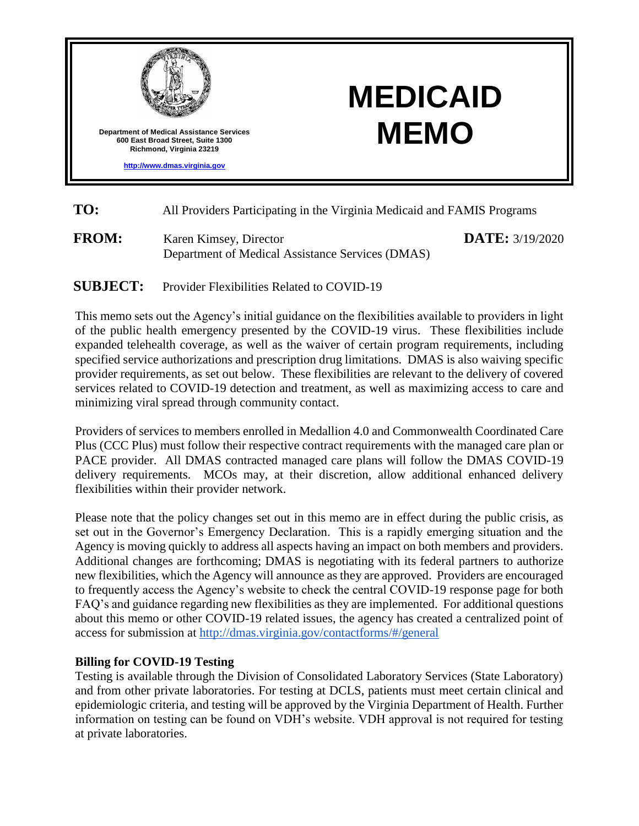

- **TO:** All Providers Participating in the Virginia Medicaid and FAMIS Programs
- **FROM:** Karen Kimsey, Director Department of Medical Assistance Services (DMAS)

**DATE:** 3/19/2020

# **SUBJECT:** Provider Flexibilities Related to COVID-19

This memo sets out the Agency's initial guidance on the flexibilities available to providers in light of the public health emergency presented by the COVID-19 virus. These flexibilities include expanded telehealth coverage, as well as the waiver of certain program requirements, including specified service authorizations and prescription drug limitations. DMAS is also waiving specific provider requirements, as set out below. These flexibilities are relevant to the delivery of covered services related to COVID-19 detection and treatment, as well as maximizing access to care and minimizing viral spread through community contact.

Providers of services to members enrolled in Medallion 4.0 and Commonwealth Coordinated Care Plus (CCC Plus) must follow their respective contract requirements with the managed care plan or PACE provider. All DMAS contracted managed care plans will follow the DMAS COVID-19 delivery requirements. MCOs may, at their discretion, allow additional enhanced delivery flexibilities within their provider network.

Please note that the policy changes set out in this memo are in effect during the public crisis, as set out in the Governor's Emergency Declaration. This is a rapidly emerging situation and the Agency is moving quickly to address all aspects having an impact on both members and providers. Additional changes are forthcoming; DMAS is negotiating with its federal partners to authorize new flexibilities, which the Agency will announce as they are approved. Providers are encouraged to frequently access the Agency's website to check the central COVID-19 response page for both FAQ's and guidance regarding new flexibilities as they are implemented. For additional questions about this memo or other COVID-19 related issues, the agency has created a centralized point of access for submission at<http://dmas.virginia.gov/contactforms/#/general>

## **Billing for COVID-19 Testing**

Testing is available through the Division of Consolidated Laboratory Services (State Laboratory) and from other private laboratories. For testing at DCLS, patients must meet certain clinical and epidemiologic criteria, and testing will be approved by the Virginia Department of Health. Further information on testing can be found on VDH's website. VDH approval is not required for testing at private laboratories.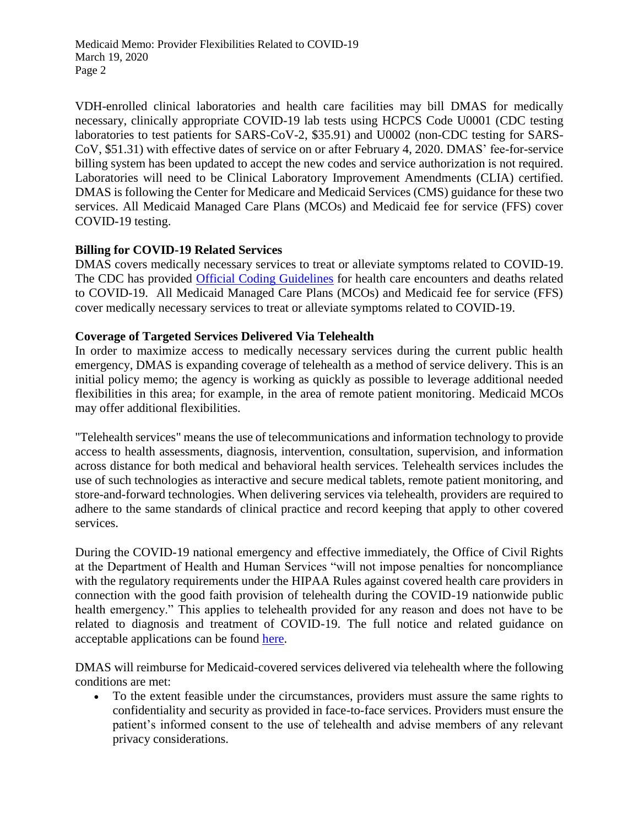VDH-enrolled clinical laboratories and health care facilities may bill DMAS for medically necessary, clinically appropriate COVID-19 lab tests using HCPCS Code U0001 (CDC testing laboratories to test patients for SARS-CoV-2, \$35.91) and U0002 (non-CDC testing for SARS-CoV, \$51.31) with effective dates of service on or after February 4, 2020. DMAS' fee-for-service billing system has been updated to accept the new codes and service authorization is not required. Laboratories will need to be Clinical Laboratory Improvement Amendments (CLIA) certified. DMAS is following the Center for Medicare and Medicaid Services (CMS) guidance for these two services. All Medicaid Managed Care Plans (MCOs) and Medicaid fee for service (FFS) cover COVID-19 testing.

## **Billing for COVID-19 Related Services**

DMAS covers medically necessary services to treat or alleviate symptoms related to COVID-19. The CDC has provided [Official Coding Guidelines](https://www.cdc.gov/nchs/data/icd/ICD-10-CM-Official-Coding-Gudance-Interim-Advice-coronavirus-feb-20-2020.pdf) for health care encounters and deaths related to COVID-19. All Medicaid Managed Care Plans (MCOs) and Medicaid fee for service (FFS) cover medically necessary services to treat or alleviate symptoms related to COVID-19.

## **Coverage of Targeted Services Delivered Via Telehealth**

In order to maximize access to medically necessary services during the current public health emergency, DMAS is expanding coverage of telehealth as a method of service delivery. This is an initial policy memo; the agency is working as quickly as possible to leverage additional needed flexibilities in this area; for example, in the area of remote patient monitoring. Medicaid MCOs may offer additional flexibilities.

"Telehealth services" means the use of telecommunications and information technology to provide access to health assessments, diagnosis, intervention, consultation, supervision, and information across distance for both medical and behavioral health services. Telehealth services includes the use of such technologies as interactive and secure medical tablets, remote patient monitoring, and store-and-forward technologies. When delivering services via telehealth, providers are required to adhere to the same standards of clinical practice and record keeping that apply to other covered services.

During the COVID-19 national emergency and effective immediately, the Office of Civil Rights at the Department of Health and Human Services "will not impose penalties for noncompliance with the regulatory requirements under the HIPAA Rules against covered health care providers in connection with the good faith provision of telehealth during the COVID-19 nationwide public health emergency." This applies to telehealth provided for any reason and does not have to be related to diagnosis and treatment of COVID-19. The full notice and related guidance on acceptable applications can be found [here.](https://www.hhs.gov/about/news/2020/03/17/ocr-announces-notification-of-enforcement-discretion-for-telehealth-remote-communications-during-the-covid-19.html)

DMAS will reimburse for Medicaid-covered services delivered via telehealth where the following conditions are met:

 To the extent feasible under the circumstances, providers must assure the same rights to confidentiality and security as provided in face-to-face services. Providers must ensure the patient's informed consent to the use of telehealth and advise members of any relevant privacy considerations.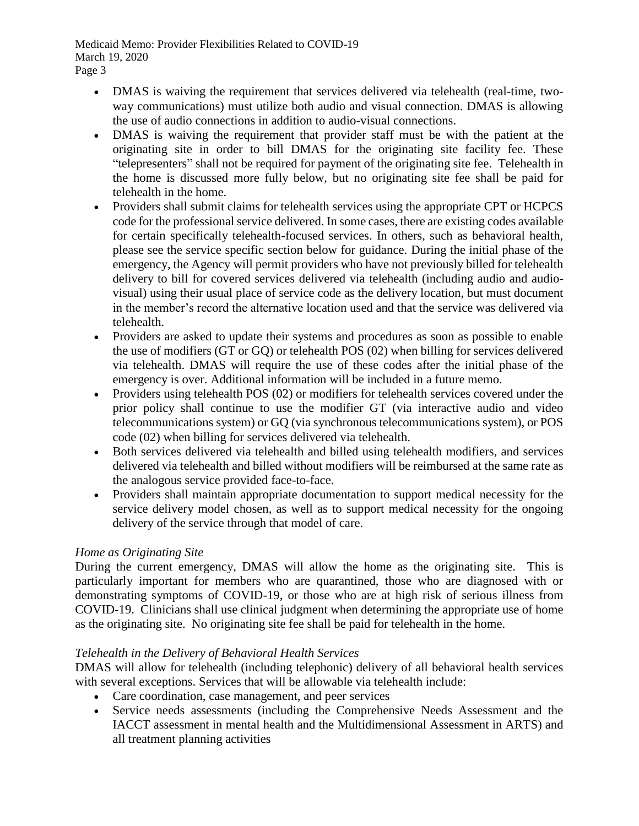- DMAS is waiving the requirement that services delivered via telehealth (real-time, twoway communications) must utilize both audio and visual connection. DMAS is allowing the use of audio connections in addition to audio-visual connections.
- DMAS is waiving the requirement that provider staff must be with the patient at the originating site in order to bill DMAS for the originating site facility fee. These "telepresenters" shall not be required for payment of the originating site fee. Telehealth in the home is discussed more fully below, but no originating site fee shall be paid for telehealth in the home.
- Providers shall submit claims for telehealth services using the appropriate CPT or HCPCS code for the professional service delivered. In some cases, there are existing codes available for certain specifically telehealth-focused services. In others, such as behavioral health, please see the service specific section below for guidance. During the initial phase of the emergency, the Agency will permit providers who have not previously billed for telehealth delivery to bill for covered services delivered via telehealth (including audio and audiovisual) using their usual place of service code as the delivery location, but must document in the member's record the alternative location used and that the service was delivered via telehealth.
- Providers are asked to update their systems and procedures as soon as possible to enable the use of modifiers (GT or GQ) or telehealth POS (02) when billing for services delivered via telehealth. DMAS will require the use of these codes after the initial phase of the emergency is over. Additional information will be included in a future memo.
- Providers using telehealth POS (02) or modifiers for telehealth services covered under the prior policy shall continue to use the modifier GT (via interactive audio and video telecommunications system) or GQ (via synchronous telecommunications system), or POS code (02) when billing for services delivered via telehealth.
- Both services delivered via telehealth and billed using telehealth modifiers, and services delivered via telehealth and billed without modifiers will be reimbursed at the same rate as the analogous service provided face-to-face.
- Providers shall maintain appropriate documentation to support medical necessity for the service delivery model chosen, as well as to support medical necessity for the ongoing delivery of the service through that model of care.

# *Home as Originating Site*

During the current emergency, DMAS will allow the home as the originating site. This is particularly important for members who are quarantined, those who are diagnosed with or demonstrating symptoms of COVID-19, or those who are at high risk of serious illness from COVID-19. Clinicians shall use clinical judgment when determining the appropriate use of home as the originating site. No originating site fee shall be paid for telehealth in the home.

# *Telehealth in the Delivery of Behavioral Health Services*

DMAS will allow for telehealth (including telephonic) delivery of all behavioral health services with several exceptions. Services that will be allowable via telehealth include:

- Care coordination, case management, and peer services
- Service needs assessments (including the Comprehensive Needs Assessment and the IACCT assessment in mental health and the Multidimensional Assessment in ARTS) and all treatment planning activities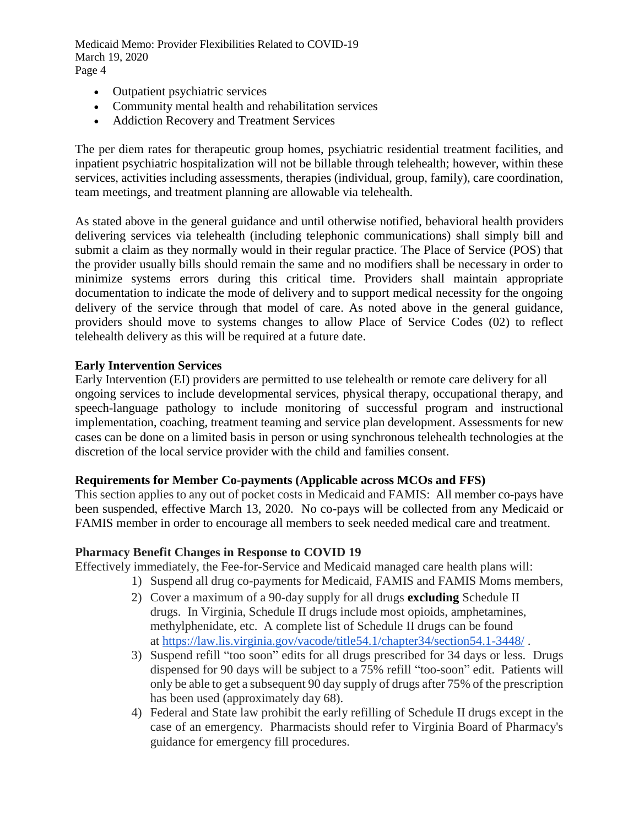- Outpatient psychiatric services
- Community mental health and rehabilitation services
- Addiction Recovery and Treatment Services

The per diem rates for therapeutic group homes, psychiatric residential treatment facilities, and inpatient psychiatric hospitalization will not be billable through telehealth; however, within these services, activities including assessments, therapies (individual, group, family), care coordination, team meetings, and treatment planning are allowable via telehealth.

As stated above in the general guidance and until otherwise notified, behavioral health providers delivering services via telehealth (including telephonic communications) shall simply bill and submit a claim as they normally would in their regular practice. The Place of Service (POS) that the provider usually bills should remain the same and no modifiers shall be necessary in order to minimize systems errors during this critical time. Providers shall maintain appropriate documentation to indicate the mode of delivery and to support medical necessity for the ongoing delivery of the service through that model of care. As noted above in the general guidance, providers should move to systems changes to allow Place of Service Codes (02) to reflect telehealth delivery as this will be required at a future date.

## **Early Intervention Services**

Early Intervention (EI) providers are permitted to use telehealth or remote care delivery for all ongoing services to include developmental services, physical therapy, occupational therapy, and speech-language pathology to include monitoring of successful program and instructional implementation, coaching, treatment teaming and service plan development. Assessments for new cases can be done on a limited basis in person or using synchronous telehealth technologies at the discretion of the local service provider with the child and families consent.

## **Requirements for Member Co-payments (Applicable across MCOs and FFS)**

This section applies to any out of pocket costs in Medicaid and FAMIS: All member co-pays have been suspended, effective March 13, 2020. No co-pays will be collected from any Medicaid or FAMIS member in order to encourage all members to seek needed medical care and treatment.

## **Pharmacy Benefit Changes in Response to COVID 19**

Effectively immediately, the Fee-for-Service and Medicaid managed care health plans will:

- 1) Suspend all drug co-payments for Medicaid, FAMIS and FAMIS Moms members,
- 2) Cover a maximum of a 90-day supply for all drugs **excluding** Schedule II drugs. In Virginia, Schedule II drugs include most opioids, amphetamines, methylphenidate, etc. A complete list of Schedule II drugs can be found at <https://law.lis.virginia.gov/vacode/title54.1/chapter34/section54.1-3448/> .
- 3) Suspend refill "too soon" edits for all drugs prescribed for 34 days or less. Drugs dispensed for 90 days will be subject to a 75% refill "too-soon" edit. Patients will only be able to get a subsequent 90 day supply of drugs after 75% of the prescription has been used (approximately day 68).
- 4) Federal and State law prohibit the early refilling of Schedule II drugs except in the case of an emergency. Pharmacists should refer to Virginia Board of Pharmacy's guidance for emergency fill procedures.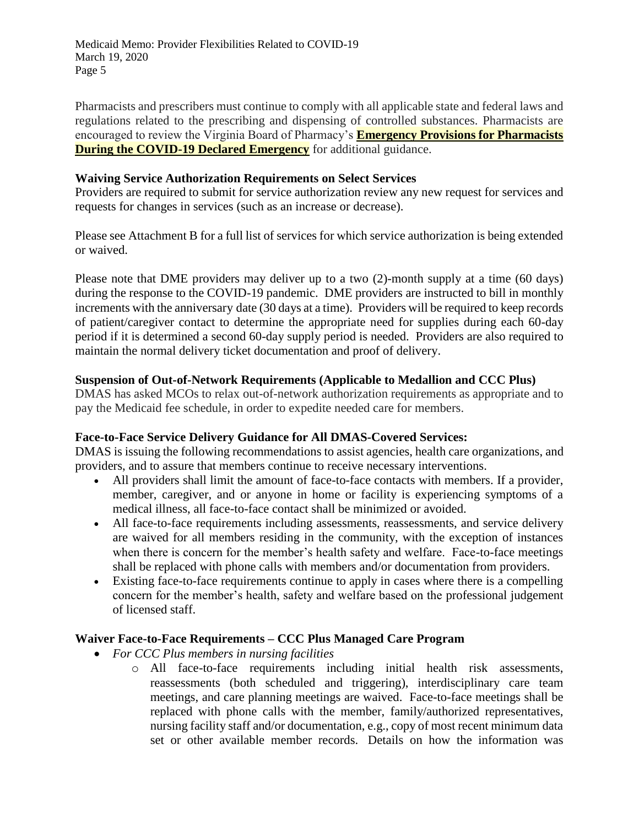Pharmacists and prescribers must continue to comply with all applicable state and federal laws and regulations related to the prescribing and dispensing of controlled substances. Pharmacists are encouraged to review the Virginia Board of Pharmacy's **[Emergency Provisions for Pharmacists](https://www.dhp.virginia.gov/pharmacy/news/PharmacyCoronavirusInformation3-13-2020.pdf)  [During the COVID-19 Declared Emergency](https://www.dhp.virginia.gov/pharmacy/news/PharmacyCoronavirusInformation3-13-2020.pdf)** for additional guidance.

## **Waiving Service Authorization Requirements on Select Services**

Providers are required to submit for service authorization review any new request for services and requests for changes in services (such as an increase or decrease).

Please see Attachment B for a full list of services for which service authorization is being extended or waived.

Please note that DME providers may deliver up to a two (2)-month supply at a time (60 days) during the response to the COVID-19 pandemic. DME providers are instructed to bill in monthly increments with the anniversary date (30 days at a time). Providers will be required to keep records of patient/caregiver contact to determine the appropriate need for supplies during each 60-day period if it is determined a second 60-day supply period is needed. Providers are also required to maintain the normal delivery ticket documentation and proof of delivery.

## **Suspension of Out-of-Network Requirements (Applicable to Medallion and CCC Plus)**

DMAS has asked MCOs to relax out-of-network authorization requirements as appropriate and to pay the Medicaid fee schedule, in order to expedite needed care for members.

## **Face-to-Face Service Delivery Guidance for All DMAS-Covered Services:**

DMAS is issuing the following recommendations to assist agencies, health care organizations, and providers, and to assure that members continue to receive necessary interventions.

- All providers shall limit the amount of face-to-face contacts with members. If a provider, member, caregiver, and or anyone in home or facility is experiencing symptoms of a medical illness, all face-to-face contact shall be minimized or avoided.
- All face-to-face requirements including assessments, reassessments, and service delivery are waived for all members residing in the community, with the exception of instances when there is concern for the member's health safety and welfare. Face-to-face meetings shall be replaced with phone calls with members and/or documentation from providers.
- Existing face-to-face requirements continue to apply in cases where there is a compelling concern for the member's health, safety and welfare based on the professional judgement of licensed staff.

# **Waiver Face-to-Face Requirements – CCC Plus Managed Care Program**

- *For CCC Plus members in nursing facilities*
	- o All face-to-face requirements including initial health risk assessments, reassessments (both scheduled and triggering), interdisciplinary care team meetings, and care planning meetings are waived. Face-to-face meetings shall be replaced with phone calls with the member, family/authorized representatives, nursing facility staff and/or documentation, e.g., copy of most recent minimum data set or other available member records. Details on how the information was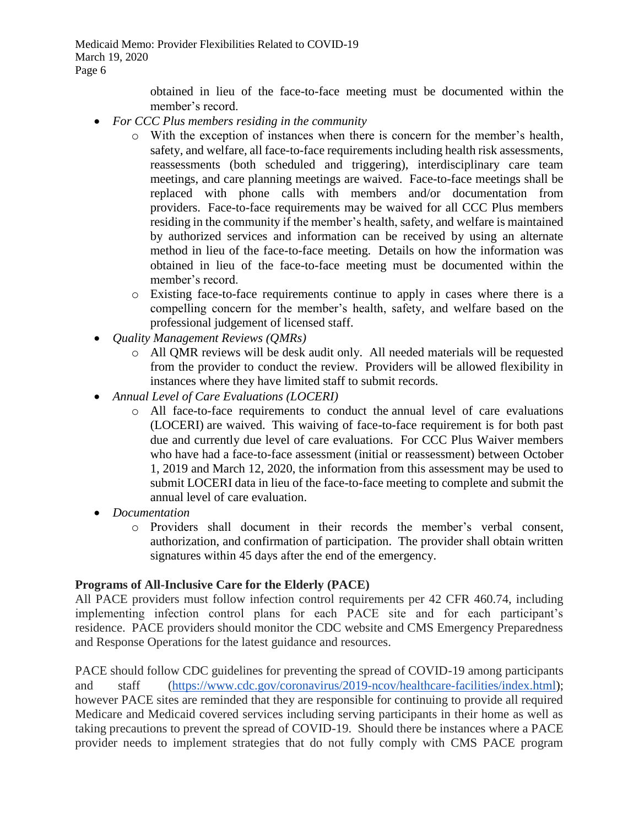> obtained in lieu of the face-to-face meeting must be documented within the member's record.

- *For CCC Plus members residing in the community*
	- o With the exception of instances when there is concern for the member's health, safety, and welfare, all face-to-face requirements including health risk assessments, reassessments (both scheduled and triggering), interdisciplinary care team meetings, and care planning meetings are waived. Face-to-face meetings shall be replaced with phone calls with members and/or documentation from providers. Face-to-face requirements may be waived for all CCC Plus members residing in the community if the member's health, safety, and welfare is maintained by authorized services and information can be received by using an alternate method in lieu of the face-to-face meeting. Details on how the information was obtained in lieu of the face-to-face meeting must be documented within the member's record.
	- o Existing face-to-face requirements continue to apply in cases where there is a compelling concern for the member's health, safety, and welfare based on the professional judgement of licensed staff.
- *Quality Management Reviews (QMRs)*
	- o All QMR reviews will be desk audit only. All needed materials will be requested from the provider to conduct the review. Providers will be allowed flexibility in instances where they have limited staff to submit records.
- *Annual Level of Care Evaluations (LOCERI)*
	- o All face-to-face requirements to conduct the annual level of care evaluations (LOCERI) are waived. This waiving of face-to-face requirement is for both past due and currently due level of care evaluations. For CCC Plus Waiver members who have had a face-to-face assessment (initial or reassessment) between October 1, 2019 and March 12, 2020, the information from this assessment may be used to submit LOCERI data in lieu of the face-to-face meeting to complete and submit the annual level of care evaluation.
- *Documentation*
	- o Providers shall document in their records the member's verbal consent, authorization, and confirmation of participation. The provider shall obtain written signatures within 45 days after the end of the emergency.

# **Programs of All-Inclusive Care for the Elderly (PACE)**

All PACE providers must follow infection control requirements per 42 CFR 460.74, including implementing infection control plans for each PACE site and for each participant's residence. PACE providers should monitor the CDC website and CMS Emergency Preparedness and Response Operations for the latest guidance and resources.

PACE should follow CDC guidelines for preventing the spread of COVID-19 among participants and staff [\(https://www.cdc.gov/coronavirus/2019-ncov/healthcare-facilities/index.html\)](https://www.cdc.gov/coronavirus/2019-ncov/healthcare-facilities/index.html); however PACE sites are reminded that they are responsible for continuing to provide all required Medicare and Medicaid covered services including serving participants in their home as well as taking precautions to prevent the spread of COVID-19. Should there be instances where a PACE provider needs to implement strategies that do not fully comply with CMS PACE program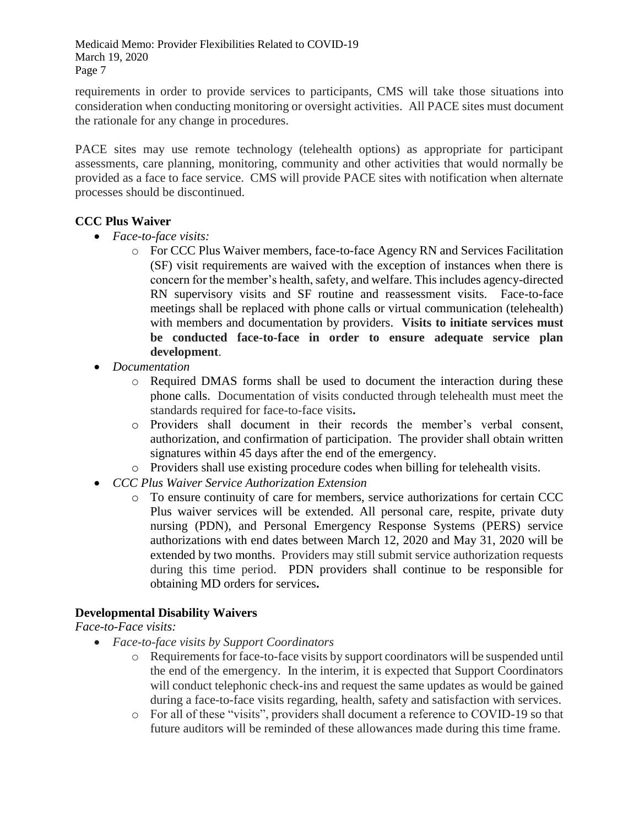requirements in order to provide services to participants, CMS will take those situations into consideration when conducting monitoring or oversight activities. All PACE sites must document the rationale for any change in procedures.

PACE sites may use remote technology (telehealth options) as appropriate for participant assessments, care planning, monitoring, community and other activities that would normally be provided as a face to face service. CMS will provide PACE sites with notification when alternate processes should be discontinued.

# **CCC Plus Waiver**

- *Face-to-face visits:* 
	- o For CCC Plus Waiver members, face-to-face Agency RN and Services Facilitation (SF) visit requirements are waived with the exception of instances when there is concern for the member's health, safety, and welfare. This includes agency-directed RN supervisory visits and SF routine and reassessment visits. Face-to-face meetings shall be replaced with phone calls or virtual communication (telehealth) with members and documentation by providers. **Visits to initiate services must be conducted face-to-face in order to ensure adequate service plan development**.
- *Documentation*
	- o Required DMAS forms shall be used to document the interaction during these phone calls. Documentation of visits conducted through telehealth must meet the standards required for face-to-face visits**.**
	- o Providers shall document in their records the member's verbal consent, authorization, and confirmation of participation. The provider shall obtain written signatures within 45 days after the end of the emergency.
	- o Providers shall use existing procedure codes when billing for telehealth visits.
- *CCC Plus Waiver Service Authorization Extension*
	- o To ensure continuity of care for members, service authorizations for certain CCC Plus waiver services will be extended. All personal care, respite, private duty nursing (PDN), and Personal Emergency Response Systems (PERS) service authorizations with end dates between March 12, 2020 and May 31, 2020 will be extended by two months. Providers may still submit service authorization requests during this time period. PDN providers shall continue to be responsible for obtaining MD orders for services**.**

# **Developmental Disability Waivers**

# *Face-to-Face visits:*

- *Face-to-face visits by Support Coordinators*
	- o Requirements for face-to-face visits by support coordinators will be suspended until the end of the emergency. In the interim, it is expected that Support Coordinators will conduct telephonic check-ins and request the same updates as would be gained during a face-to-face visits regarding, health, safety and satisfaction with services.
	- o For all of these "visits", providers shall document a reference to COVID-19 so that future auditors will be reminded of these allowances made during this time frame.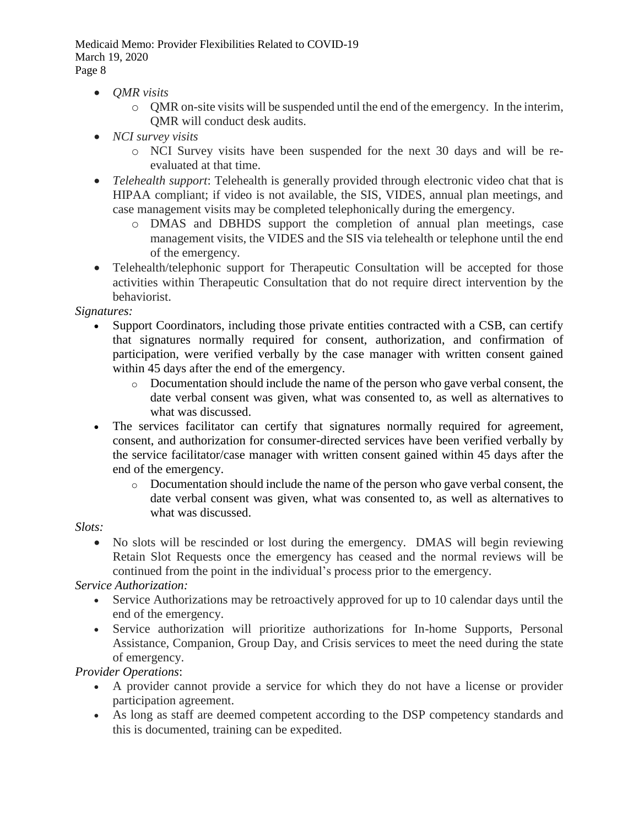- *QMR visits*
	- $\circ$  OMR on-site visits will be suspended until the end of the emergency. In the interim, QMR will conduct desk audits.
- *NCI survey visits*
	- o NCI Survey visits have been suspended for the next 30 days and will be reevaluated at that time.
- *Telehealth support*: Telehealth is generally provided through electronic video chat that is HIPAA compliant; if video is not available, the SIS, VIDES, annual plan meetings, and case management visits may be completed telephonically during the emergency.
	- o DMAS and DBHDS support the completion of annual plan meetings, case management visits, the VIDES and the SIS via telehealth or telephone until the end of the emergency.
- Telehealth/telephonic support for Therapeutic Consultation will be accepted for those activities within Therapeutic Consultation that do not require direct intervention by the behaviorist.

# *Signatures:*

- Support Coordinators, including those private entities contracted with a CSB, can certify that signatures normally required for consent, authorization, and confirmation of participation, were verified verbally by the case manager with written consent gained within 45 days after the end of the emergency.
	- o Documentation should include the name of the person who gave verbal consent, the date verbal consent was given, what was consented to, as well as alternatives to what was discussed.
- The services facilitator can certify that signatures normally required for agreement, consent, and authorization for consumer-directed services have been verified verbally by the service facilitator/case manager with written consent gained within 45 days after the end of the emergency.
	- o Documentation should include the name of the person who gave verbal consent, the date verbal consent was given, what was consented to, as well as alternatives to what was discussed.

# *Slots:*

 No slots will be rescinded or lost during the emergency. DMAS will begin reviewing Retain Slot Requests once the emergency has ceased and the normal reviews will be continued from the point in the individual's process prior to the emergency.

# *Service Authorization:*

- Service Authorizations may be retroactively approved for up to 10 calendar days until the end of the emergency.
- Service authorization will prioritize authorizations for In-home Supports, Personal Assistance, Companion, Group Day, and Crisis services to meet the need during the state of emergency.

# *Provider Operations*:

- A provider cannot provide a service for which they do not have a license or provider participation agreement.
- As long as staff are deemed competent according to the DSP competency standards and this is documented, training can be expedited.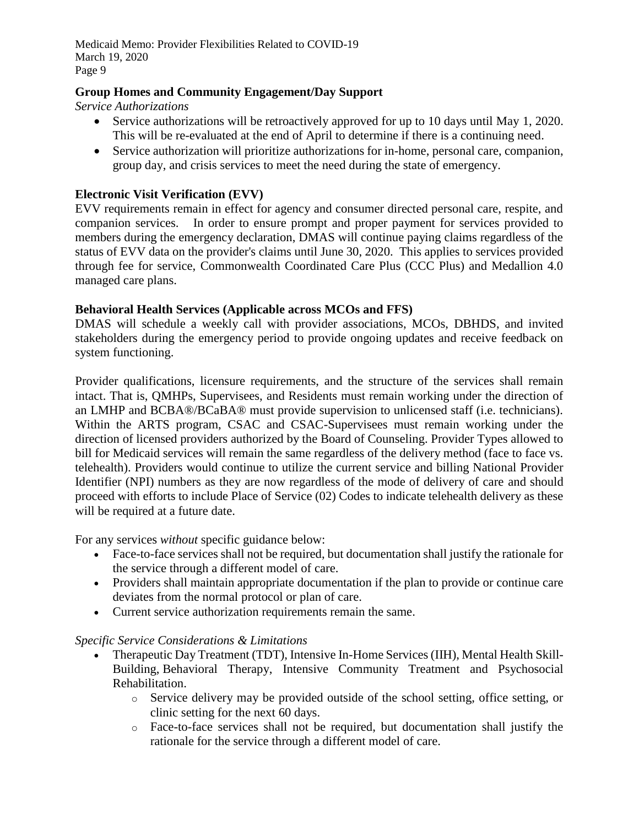# **Group Homes and Community Engagement/Day Support**

*Service Authorizations*

- Service authorizations will be retroactively approved for up to 10 days until May 1, 2020. This will be re-evaluated at the end of April to determine if there is a continuing need.
- Service authorization will prioritize authorizations for in-home, personal care, companion, group day, and crisis services to meet the need during the state of emergency.

## **Electronic Visit Verification (EVV)**

EVV requirements remain in effect for agency and consumer directed personal care, respite, and companion services. In order to ensure prompt and proper payment for services provided to members during the emergency declaration, DMAS will continue paying claims regardless of the status of EVV data on the provider's claims until June 30, 2020. This applies to services provided through fee for service, Commonwealth Coordinated Care Plus (CCC Plus) and Medallion 4.0 managed care plans.

## **Behavioral Health Services (Applicable across MCOs and FFS)**

DMAS will schedule a weekly call with provider associations, MCOs, DBHDS, and invited stakeholders during the emergency period to provide ongoing updates and receive feedback on system functioning.

Provider qualifications, licensure requirements, and the structure of the services shall remain intact. That is, QMHPs, Supervisees, and Residents must remain working under the direction of an LMHP and BCBA®/BCaBA® must provide supervision to unlicensed staff (i.e. technicians). Within the ARTS program, CSAC and CSAC-Supervisees must remain working under the direction of licensed providers authorized by the Board of Counseling. Provider Types allowed to bill for Medicaid services will remain the same regardless of the delivery method (face to face vs. telehealth). Providers would continue to utilize the current service and billing National Provider Identifier (NPI) numbers as they are now regardless of the mode of delivery of care and should proceed with efforts to include Place of Service (02) Codes to indicate telehealth delivery as these will be required at a future date.

For any services *without* specific guidance below:

- Face-to-face services shall not be required, but documentation shall justify the rationale for the service through a different model of care.
- Providers shall maintain appropriate documentation if the plan to provide or continue care deviates from the normal protocol or plan of care.
- Current service authorization requirements remain the same.

## *Specific Service Considerations & Limitations*

- Therapeutic Day Treatment (TDT), Intensive In-Home Services (IIH), Mental Health Skill-Building, Behavioral Therapy, Intensive Community Treatment and Psychosocial Rehabilitation.
	- o Service delivery may be provided outside of the school setting, office setting, or clinic setting for the next 60 days.
	- o Face-to-face services shall not be required, but documentation shall justify the rationale for the service through a different model of care.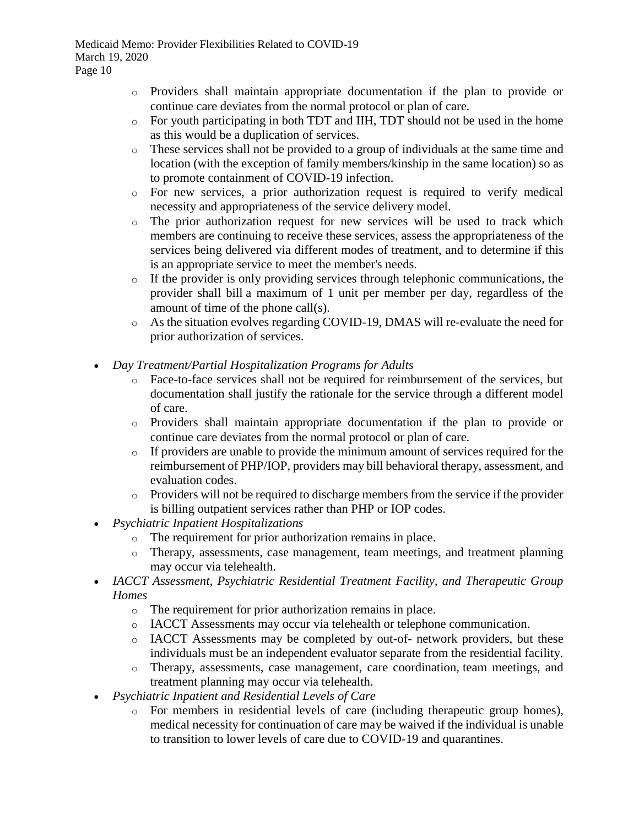- o Providers shall maintain appropriate documentation if the plan to provide or continue care deviates from the normal protocol or plan of care.
- o For youth participating in both TDT and IIH, TDT should not be used in the home as this would be a duplication of services.
- o These services shall not be provided to a group of individuals at the same time and location (with the exception of family members/kinship in the same location) so as to promote containment of COVID-19 infection.
- o For new services, a prior authorization request is required to verify medical necessity and appropriateness of the service delivery model.
- o The prior authorization request for new services will be used to track which members are continuing to receive these services, assess the appropriateness of the services being delivered via different modes of treatment, and to determine if this is an appropriate service to meet the member's needs.
- o If the provider is only providing services through telephonic communications, the provider shall bill a maximum of 1 unit per member per day, regardless of the amount of time of the phone call(s).
- o As the situation evolves regarding COVID-19, DMAS will re-evaluate the need for prior authorization of services.
- *Day Treatment/Partial Hospitalization Programs for Adults*
	- o Face-to-face services shall not be required for reimbursement of the services, but documentation shall justify the rationale for the service through a different model of care.
	- o Providers shall maintain appropriate documentation if the plan to provide or continue care deviates from the normal protocol or plan of care.
	- o If providers are unable to provide the minimum amount of services required for the reimbursement of PHP/IOP, providers may bill behavioral therapy, assessment, and evaluation codes.
	- o Providers will not be required to discharge members from the service if the provider is billing outpatient services rather than PHP or IOP codes.
- *Psychiatric Inpatient Hospitalizations*
	- o The requirement for prior authorization remains in place.
	- o Therapy, assessments, case management, team meetings, and treatment planning may occur via telehealth.
- *IACCT Assessment, Psychiatric Residential Treatment Facility, and Therapeutic Group Homes*
	- o The requirement for prior authorization remains in place.
	- o IACCT Assessments may occur via telehealth or telephone communication.
	- o IACCT Assessments may be completed by out-of- network providers, but these individuals must be an independent evaluator separate from the residential facility.
	- o Therapy, assessments, case management, care coordination, team meetings, and treatment planning may occur via telehealth.
- *Psychiatric Inpatient and Residential Levels of Care*
	- o For members in residential levels of care (including therapeutic group homes), medical necessity for continuation of care may be waived if the individual is unable to transition to lower levels of care due to COVID-19 and quarantines.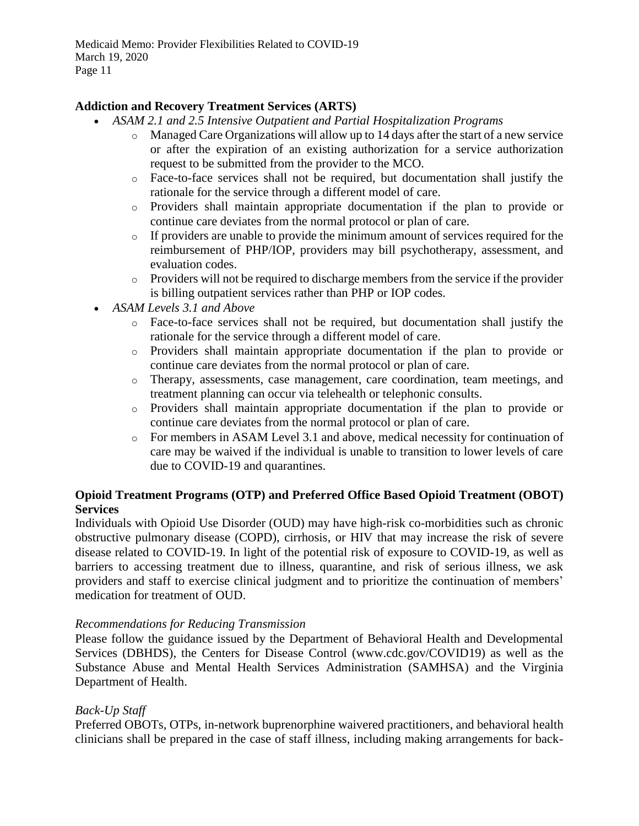## **Addiction and Recovery Treatment Services (ARTS)**

- *ASAM 2.1 and 2.5 Intensive Outpatient and Partial Hospitalization Programs*
	- o Managed Care Organizations will allow up to 14 days after the start of a new service or after the expiration of an existing authorization for a service authorization request to be submitted from the provider to the MCO.
	- o Face-to-face services shall not be required, but documentation shall justify the rationale for the service through a different model of care.
	- o Providers shall maintain appropriate documentation if the plan to provide or continue care deviates from the normal protocol or plan of care.
	- o If providers are unable to provide the minimum amount of services required for the reimbursement of PHP/IOP, providers may bill psychotherapy, assessment, and evaluation codes.
	- o Providers will not be required to discharge members from the service if the provider is billing outpatient services rather than PHP or IOP codes.
- *ASAM Levels 3.1 and Above*
	- o Face-to-face services shall not be required, but documentation shall justify the rationale for the service through a different model of care.
	- o Providers shall maintain appropriate documentation if the plan to provide or continue care deviates from the normal protocol or plan of care.
	- o Therapy, assessments, case management, care coordination, team meetings, and treatment planning can occur via telehealth or telephonic consults.
	- o Providers shall maintain appropriate documentation if the plan to provide or continue care deviates from the normal protocol or plan of care.
	- o For members in ASAM Level 3.1 and above, medical necessity for continuation of care may be waived if the individual is unable to transition to lower levels of care due to COVID-19 and quarantines.

## **Opioid Treatment Programs (OTP) and Preferred Office Based Opioid Treatment (OBOT) Services**

Individuals with Opioid Use Disorder (OUD) may have high-risk co-morbidities such as chronic obstructive pulmonary disease (COPD), cirrhosis, or HIV that may increase the risk of severe disease related to COVID-19. In light of the potential risk of exposure to COVID-19, as well as barriers to accessing treatment due to illness, quarantine, and risk of serious illness, we ask providers and staff to exercise clinical judgment and to prioritize the continuation of members' medication for treatment of OUD.

## *Recommendations for Reducing Transmission*

Please follow the guidance issued by the Department of Behavioral Health and Developmental Services (DBHDS), the Centers for Disease Control (www.cdc.gov/COVID19) as well as the Substance Abuse and Mental Health Services Administration (SAMHSA) and the Virginia Department of Health.

## *Back-Up Staff*

Preferred OBOTs, OTPs, in-network buprenorphine waivered practitioners, and behavioral health clinicians shall be prepared in the case of staff illness, including making arrangements for back-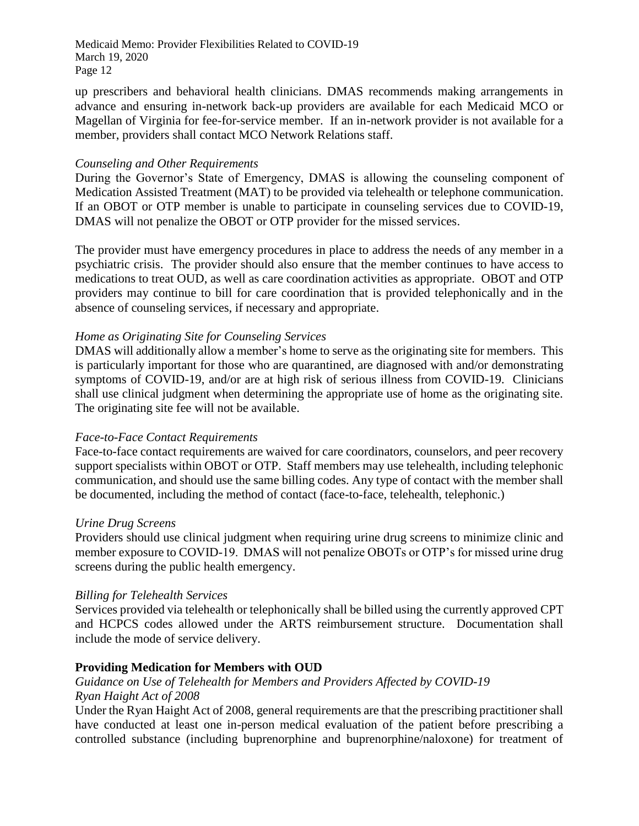up prescribers and behavioral health clinicians. DMAS recommends making arrangements in advance and ensuring in-network back-up providers are available for each Medicaid MCO or Magellan of Virginia for fee-for-service member. If an in-network provider is not available for a member, providers shall contact MCO Network Relations staff.

## *Counseling and Other Requirements*

During the Governor's State of Emergency, DMAS is allowing the counseling component of Medication Assisted Treatment (MAT) to be provided via telehealth or telephone communication. If an OBOT or OTP member is unable to participate in counseling services due to COVID-19, DMAS will not penalize the OBOT or OTP provider for the missed services.

The provider must have emergency procedures in place to address the needs of any member in a psychiatric crisis. The provider should also ensure that the member continues to have access to medications to treat OUD, as well as care coordination activities as appropriate. OBOT and OTP providers may continue to bill for care coordination that is provided telephonically and in the absence of counseling services, if necessary and appropriate.

## *Home as Originating Site for Counseling Services*

DMAS will additionally allow a member's home to serve as the originating site for members. This is particularly important for those who are quarantined, are diagnosed with and/or demonstrating symptoms of COVID-19, and/or are at high risk of serious illness from COVID-19. Clinicians shall use clinical judgment when determining the appropriate use of home as the originating site. The originating site fee will not be available.

## *Face-to-Face Contact Requirements*

Face-to-face contact requirements are waived for care coordinators, counselors, and peer recovery support specialists within OBOT or OTP. Staff members may use telehealth, including telephonic communication, and should use the same billing codes. Any type of contact with the member shall be documented, including the method of contact (face-to-face, telehealth, telephonic.)

## *Urine Drug Screens*

Providers should use clinical judgment when requiring urine drug screens to minimize clinic and member exposure to COVID-19. DMAS will not penalize OBOTs or OTP's for missed urine drug screens during the public health emergency.

## *Billing for Telehealth Services*

Services provided via telehealth or telephonically shall be billed using the currently approved CPT and HCPCS codes allowed under the ARTS reimbursement structure. Documentation shall include the mode of service delivery.

# **Providing Medication for Members with OUD**

## *Guidance on Use of Telehealth for Members and Providers Affected by COVID-19 Ryan Haight Act of 2008*

Under the Ryan Haight Act of 2008, general requirements are that the prescribing practitioner shall have conducted at least one in-person medical evaluation of the patient before prescribing a controlled substance (including buprenorphine and buprenorphine/naloxone) for treatment of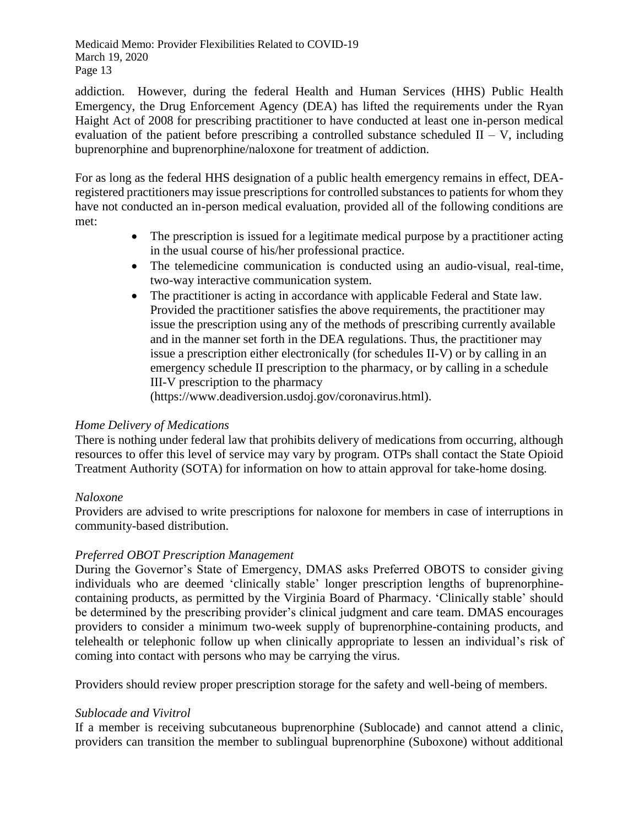addiction. However, during the federal Health and Human Services (HHS) Public Health Emergency, the Drug Enforcement Agency (DEA) has lifted the requirements under the Ryan Haight Act of 2008 for prescribing practitioner to have conducted at least one in-person medical evaluation of the patient before prescribing a controlled substance scheduled  $II - V$ , including buprenorphine and buprenorphine/naloxone for treatment of addiction.

For as long as the federal HHS designation of a public health emergency remains in effect, DEAregistered practitioners may issue prescriptions for controlled substances to patients for whom they have not conducted an in-person medical evaluation, provided all of the following conditions are met:

- The prescription is issued for a legitimate medical purpose by a practitioner acting in the usual course of his/her professional practice.
- The telemedicine communication is conducted using an audio-visual, real-time, two-way interactive communication system.
- The practitioner is acting in accordance with applicable Federal and State law. Provided the practitioner satisfies the above requirements, the practitioner may issue the prescription using any of the methods of prescribing currently available and in the manner set forth in the DEA regulations. Thus, the practitioner may issue a prescription either electronically (for schedules II-V) or by calling in an emergency schedule II prescription to the pharmacy, or by calling in a schedule III-V prescription to the pharmacy

(https://www.deadiversion.usdoj.gov/coronavirus.html).

# *Home Delivery of Medications*

There is nothing under federal law that prohibits delivery of medications from occurring, although resources to offer this level of service may vary by program. OTPs shall contact the State Opioid Treatment Authority (SOTA) for information on how to attain approval for take-home dosing.

# *Naloxone*

Providers are advised to write prescriptions for naloxone for members in case of interruptions in community-based distribution.

## *Preferred OBOT Prescription Management*

During the Governor's State of Emergency, DMAS asks Preferred OBOTS to consider giving individuals who are deemed 'clinically stable' longer prescription lengths of buprenorphinecontaining products, as permitted by the Virginia Board of Pharmacy. 'Clinically stable' should be determined by the prescribing provider's clinical judgment and care team. DMAS encourages providers to consider a minimum two-week supply of buprenorphine-containing products, and telehealth or telephonic follow up when clinically appropriate to lessen an individual's risk of coming into contact with persons who may be carrying the virus.

Providers should review proper prescription storage for the safety and well-being of members.

## *Sublocade and Vivitrol*

If a member is receiving subcutaneous buprenorphine (Sublocade) and cannot attend a clinic, providers can transition the member to sublingual buprenorphine (Suboxone) without additional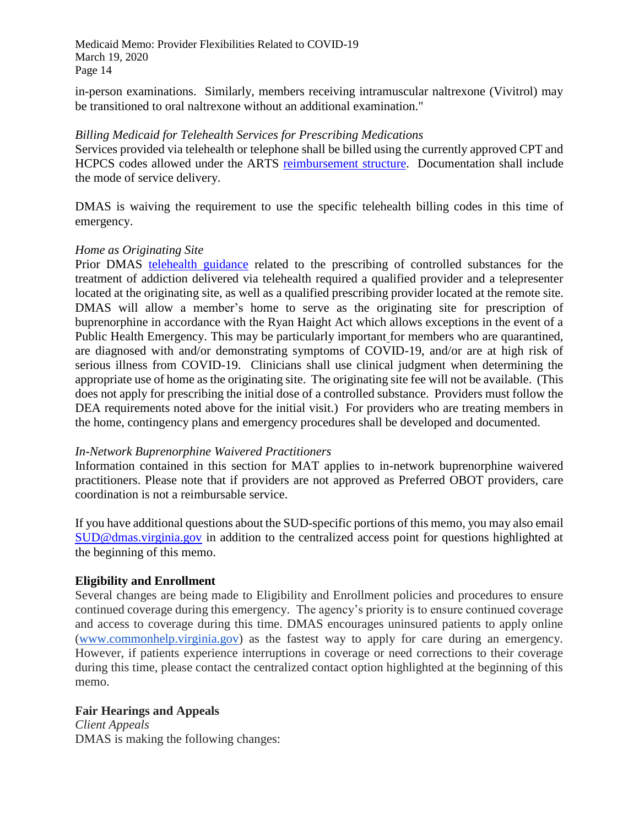in-person examinations. Similarly, members receiving intramuscular naltrexone (Vivitrol) may be transitioned to oral naltrexone without an additional examination."

#### *Billing Medicaid for Telehealth Services for Prescribing Medications*

Services provided via telehealth or telephone shall be billed using the currently approved CPT and HCPCS codes allowed under the ARTS [reimbursement structure.](http://www.dmas.virginia.gov/files/links/310/ARTS%20Reimbursement%20Structure%20(09.18.2019).pdf) Documentation shall include the mode of service delivery.

DMAS is waiving the requirement to use the specific telehealth billing codes in this time of emergency.

#### *Home as Originating Site*

Prior DMAS [telehealth](http://www.dmas.virginia.gov/files/links/5104/MSR%202019-295-001-W%20Attachment%20-%20Telemedicine%20Requirements%20for%20MAT%20OUD%20Bulletin%20V1.0%20dtd%20102319.pdf) guidance related to the prescribing of controlled substances for the treatment of addiction delivered via telehealth required a qualified provider and a telepresenter located at the originating site, as well as a qualified prescribing provider located at the remote site. DMAS will allow a member's home to serve as the originating site for prescription of buprenorphine in accordance with the Ryan Haight Act which allows exceptions in the event of a Public Health Emergency. This may be particularly important for members who are quarantined, are diagnosed with and/or demonstrating symptoms of COVID-19, and/or are at high risk of serious illness from COVID-19. Clinicians shall use clinical judgment when determining the appropriate use of home as the originating site. The originating site fee will not be available. (This does not apply for prescribing the initial dose of a controlled substance. Providers must follow the DEA requirements noted above for the initial visit.) For providers who are treating members in the home, contingency plans and emergency procedures shall be developed and documented.

## *In-Network Buprenorphine Waivered Practitioners*

Information contained in this section for MAT applies to in-network buprenorphine waivered practitioners. Please note that if providers are not approved as Preferred OBOT providers, care coordination is not a reimbursable service.

If you have additional questions about the SUD-specific portions of this memo, you may also email [SUD@dmas.virginia.gov](mailto:SUD@dmas.virginia.gov) in addition to the centralized access point for questions highlighted at the beginning of this memo.

## **Eligibility and Enrollment**

Several changes are being made to Eligibility and Enrollment policies and procedures to ensure continued coverage during this emergency. The agency's priority is to ensure continued coverage and access to coverage during this time. DMAS encourages uninsured patients to apply online [\(www.commonhelp.virginia.gov\)](http://www.commonhelp.virginia.gov/) as the fastest way to apply for care during an emergency. However, if patients experience interruptions in coverage or need corrections to their coverage during this time, please contact the centralized contact option highlighted at the beginning of this memo.

## **Fair Hearings and Appeals**

*Client Appeals* DMAS is making the following changes: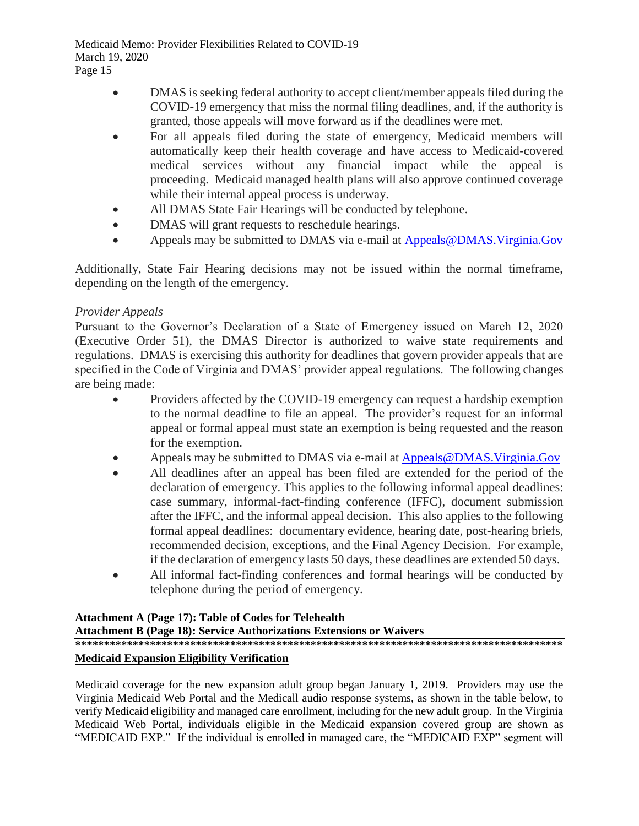- DMAS is seeking federal authority to accept client/member appeals filed during the COVID-19 emergency that miss the normal filing deadlines, and, if the authority is granted, those appeals will move forward as if the deadlines were met.
- For all appeals filed during the state of emergency, Medicaid members will automatically keep their health coverage and have access to Medicaid-covered medical services without any financial impact while the appeal is proceeding. Medicaid managed health plans will also approve continued coverage while their internal appeal process is underway.
- All DMAS State Fair Hearings will be conducted by telephone.
- DMAS will grant requests to reschedule hearings.
- Appeals may be submitted to DMAS via e-mail at [Appeals@DMAS.Virginia.Gov](mailto:Appeals@DMAS.Virginia.Gov)

Additionally, State Fair Hearing decisions may not be issued within the normal timeframe, depending on the length of the emergency.

## *Provider Appeals*

Pursuant to the Governor's Declaration of a State of Emergency issued on March 12, 2020 (Executive Order 51), the DMAS Director is authorized to waive state requirements and regulations. DMAS is exercising this authority for deadlines that govern provider appeals that are specified in the Code of Virginia and DMAS' provider appeal regulations. The following changes are being made:

- Providers affected by the COVID-19 emergency can request a hardship exemption to the normal deadline to file an appeal. The provider's request for an informal appeal or formal appeal must state an exemption is being requested and the reason for the exemption.
- Appeals may be submitted to DMAS via e-mail at [Appeals@DMAS.Virginia.Gov](mailto:Appeals@DMAS.Virginia.Gov)
- All deadlines after an appeal has been filed are extended for the period of the declaration of emergency. This applies to the following informal appeal deadlines: case summary, informal-fact-finding conference (IFFC), document submission after the IFFC, and the informal appeal decision. This also applies to the following formal appeal deadlines: documentary evidence, hearing date, post-hearing briefs, recommended decision, exceptions, and the Final Agency Decision. For example, if the declaration of emergency lasts 50 days, these deadlines are extended 50 days.
- All informal fact-finding conferences and formal hearings will be conducted by telephone during the period of emergency.

#### **Attachment A (Page 17): Table of Codes for Telehealth Attachment B (Page 18): Service Authorizations Extensions or Waivers \*\*\*\*\*\*\*\*\*\*\*\*\*\*\*\*\*\*\*\*\*\*\*\*\*\*\*\*\*\*\*\*\*\*\*\*\*\*\*\*\*\*\*\*\*\*\*\*\*\*\*\*\*\*\*\*\*\*\*\*\*\*\*\*\*\*\*\*\*\*\*\*\*\*\*\*\*\*\*\*\*\*\*\*\***

# **Medicaid Expansion Eligibility Verification**

Medicaid coverage for the new expansion adult group began January 1, 2019. Providers may use the Virginia Medicaid Web Portal and the Medicall audio response systems, as shown in the table below, to verify Medicaid eligibility and managed care enrollment, including for the new adult group. In the Virginia Medicaid Web Portal, individuals eligible in the Medicaid expansion covered group are shown as "MEDICAID EXP." If the individual is enrolled in managed care, the "MEDICAID EXP" segment will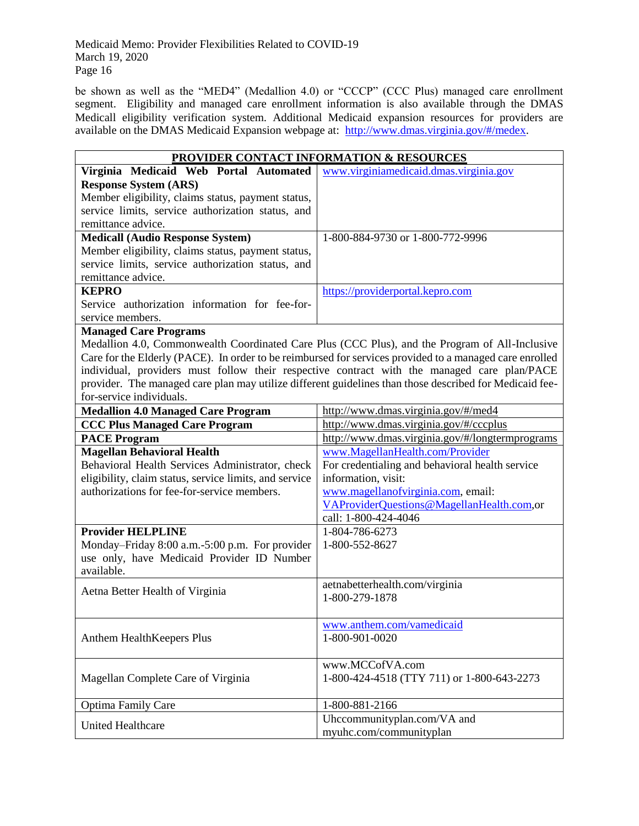be shown as well as the "MED4" (Medallion 4.0) or "CCCP" (CCC Plus) managed care enrollment segment. Eligibility and managed care enrollment information is also available through the DMAS Medicall eligibility verification system. Additional Medicaid expansion resources for providers are available on the DMAS Medicaid Expansion webpage at: [http://www.dmas.virginia.gov/#/medex.](http://www.dmas.virginia.gov/#/medex)

| <b>PROVIDER CONTACT INFORMATION &amp; RESOURCES</b>    |                                                                                                         |  |
|--------------------------------------------------------|---------------------------------------------------------------------------------------------------------|--|
| Virginia Medicaid Web Portal Automated                 | www.virginiamedicaid.dmas.virginia.gov                                                                  |  |
| <b>Response System (ARS)</b>                           |                                                                                                         |  |
| Member eligibility, claims status, payment status,     |                                                                                                         |  |
| service limits, service authorization status, and      |                                                                                                         |  |
| remittance advice.                                     |                                                                                                         |  |
| <b>Medicall (Audio Response System)</b>                | 1-800-884-9730 or 1-800-772-9996                                                                        |  |
| Member eligibility, claims status, payment status,     |                                                                                                         |  |
| service limits, service authorization status, and      |                                                                                                         |  |
| remittance advice.                                     |                                                                                                         |  |
| <b>KEPRO</b>                                           | https://providerportal.kepro.com                                                                        |  |
| Service authorization information for fee-for-         |                                                                                                         |  |
| service members.                                       |                                                                                                         |  |
| <b>Managed Care Programs</b>                           |                                                                                                         |  |
|                                                        | Medallion 4.0, Commonwealth Coordinated Care Plus (CCC Plus), and the Program of All-Inclusive          |  |
|                                                        | Care for the Elderly (PACE). In order to be reimbursed for services provided to a managed care enrolled |  |
|                                                        | individual, providers must follow their respective contract with the managed care plan/PACE             |  |
|                                                        | provider. The managed care plan may utilize different guidelines than those described for Medicaid fee- |  |
| for-service individuals.                               |                                                                                                         |  |
| <b>Medallion 4.0 Managed Care Program</b>              | http://www.dmas.virginia.gov/#/med4                                                                     |  |
| <b>CCC Plus Managed Care Program</b>                   | http://www.dmas.virginia.gov/#/cccplus                                                                  |  |
| <b>PACE Program</b>                                    | http://www.dmas.virginia.gov/#/longtermprograms                                                         |  |
| <b>Magellan Behavioral Health</b>                      | www.MagellanHealth.com/Provider                                                                         |  |
| Behavioral Health Services Administrator, check        | For credentialing and behavioral health service                                                         |  |
| eligibility, claim status, service limits, and service | information, visit:                                                                                     |  |
| authorizations for fee-for-service members.            | www.magellanofvirginia.com, email:                                                                      |  |
|                                                        | VAProviderQuestions@MagellanHealth.com,or                                                               |  |
|                                                        | call: 1-800-424-4046                                                                                    |  |
| <b>Provider HELPLINE</b>                               | 1-804-786-6273                                                                                          |  |
| Monday-Friday 8:00 a.m.-5:00 p.m. For provider         | 1-800-552-8627                                                                                          |  |
| use only, have Medicaid Provider ID Number             |                                                                                                         |  |
| available.                                             |                                                                                                         |  |
|                                                        | aetnabetterhealth.com/virginia                                                                          |  |
| Aetna Better Health of Virginia                        | 1-800-279-1878                                                                                          |  |
|                                                        |                                                                                                         |  |
|                                                        | www.anthem.com/vamedicaid                                                                               |  |
| Anthem HealthKeepers Plus                              | 1-800-901-0020                                                                                          |  |
|                                                        |                                                                                                         |  |
|                                                        | www.MCCofVA.com                                                                                         |  |
| Magellan Complete Care of Virginia                     | 1-800-424-4518 (TTY 711) or 1-800-643-2273                                                              |  |
|                                                        |                                                                                                         |  |
| <b>Optima Family Care</b>                              | 1-800-881-2166                                                                                          |  |
|                                                        | Uhccommunityplan.com/VA and                                                                             |  |
| <b>United Healthcare</b>                               | myuhc.com/communityplan                                                                                 |  |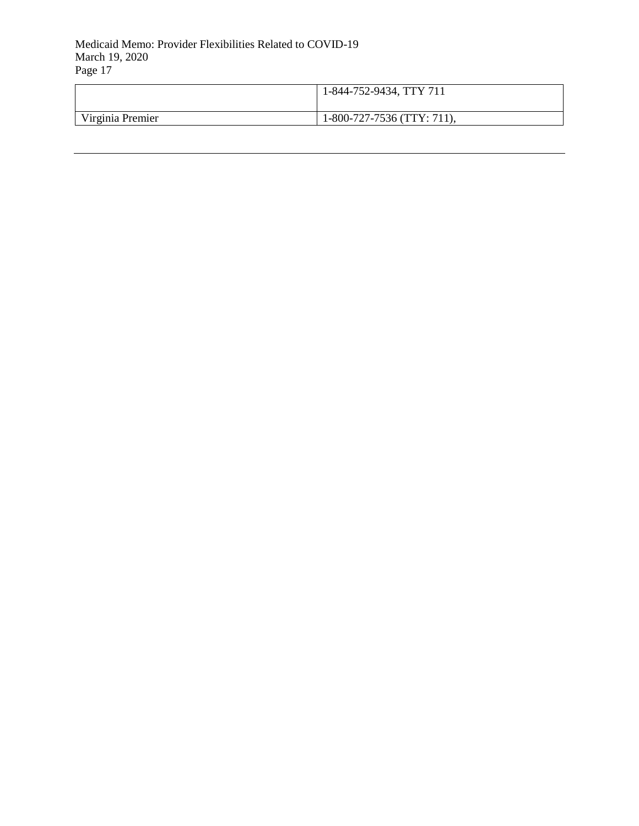|                  | 1-844-752-9434, TTY 711    |
|------------------|----------------------------|
| Virginia Premier | 1-800-727-7536 (TTY: 711), |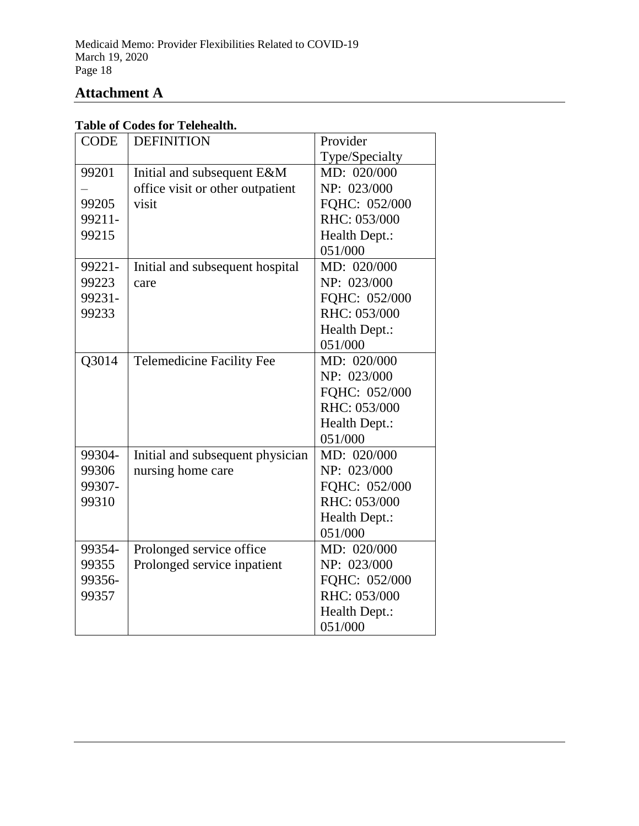# **Attachment A**

# **Table of Codes for Telehealth.**

| <b>CODE</b> | <b>DEFINITION</b>                | Provider       |
|-------------|----------------------------------|----------------|
|             |                                  | Type/Specialty |
| 99201       | Initial and subsequent E&M       | MD: 020/000    |
|             | office visit or other outpatient | NP: 023/000    |
| 99205       | visit                            | FQHC: 052/000  |
| 99211-      |                                  | RHC: 053/000   |
| 99215       |                                  | Health Dept.:  |
|             |                                  | 051/000        |
| 99221-      | Initial and subsequent hospital  | MD: 020/000    |
| 99223       | care                             | NP: 023/000    |
| 99231-      |                                  | FOHC: 052/000  |
| 99233       |                                  | RHC: 053/000   |
|             |                                  | Health Dept.:  |
|             |                                  | 051/000        |
| Q3014       | <b>Telemedicine Facility Fee</b> | MD: 020/000    |
|             |                                  | NP: 023/000    |
|             |                                  | FQHC: 052/000  |
|             |                                  | RHC: 053/000   |
|             |                                  | Health Dept.:  |
|             |                                  | 051/000        |
| 99304-      | Initial and subsequent physician | MD: 020/000    |
| 99306       | nursing home care                | NP: 023/000    |
| 99307-      |                                  | FQHC: 052/000  |
| 99310       |                                  | RHC: 053/000   |
|             |                                  | Health Dept.:  |
|             |                                  | 051/000        |
| 99354-      | Prolonged service office         | MD: 020/000    |
| 99355       | Prolonged service inpatient      | NP: 023/000    |
| 99356-      |                                  | FQHC: 052/000  |
| 99357       |                                  | RHC: 053/000   |
|             |                                  | Health Dept.:  |
|             |                                  | 051/000        |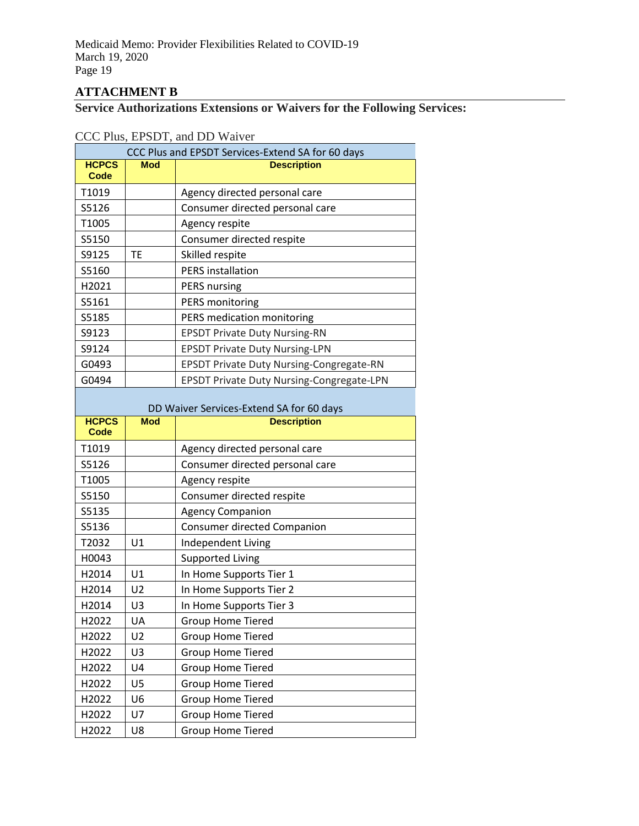# **ATTACHMENT B**

# **Service Authorizations Extensions or Waivers for the Following Services:**

## CCC Plus, EPSDT, and DD Waiver

| CCC Plus and EPSDT Services-Extend SA for 60 days |            |                                                  |
|---------------------------------------------------|------------|--------------------------------------------------|
| <b>HCPCS</b><br>Code                              | <b>Mod</b> | <b>Description</b>                               |
| T1019                                             |            | Agency directed personal care                    |
| S5126                                             |            | Consumer directed personal care                  |
| T1005                                             |            | Agency respite                                   |
| S5150                                             |            | Consumer directed respite                        |
| S9125                                             | ТE         | Skilled respite                                  |
| S5160                                             |            | <b>PERS</b> installation                         |
| H <sub>2021</sub>                                 |            | <b>PERS</b> nursing                              |
| S5161                                             |            | <b>PERS monitoring</b>                           |
| S5185                                             |            | PERS medication monitoring                       |
| S9123                                             |            | <b>EPSDT Private Duty Nursing-RN</b>             |
| S9124                                             |            | <b>EPSDT Private Duty Nursing-LPN</b>            |
| G0493                                             |            | EPSDT Private Duty Nursing-Congregate-RN         |
| G0494                                             |            | <b>EPSDT Private Duty Nursing-Congregate-LPN</b> |

| DD Waiver Services-Extend SA for 60 days |                |                                 |
|------------------------------------------|----------------|---------------------------------|
| <b>HCPCS</b><br>Code                     | <b>Mod</b>     | <b>Description</b>              |
| T1019                                    |                | Agency directed personal care   |
| S5126                                    |                | Consumer directed personal care |
| T1005                                    |                | Agency respite                  |
| S5150                                    |                | Consumer directed respite       |
| S5135                                    |                | <b>Agency Companion</b>         |
| S5136                                    |                | Consumer directed Companion     |
| T2032                                    | U1             | Independent Living              |
| H0043                                    |                | <b>Supported Living</b>         |
| H <sub>2014</sub>                        | U1             | In Home Supports Tier 1         |
| H2014                                    | U <sub>2</sub> | In Home Supports Tier 2         |
| H2014                                    | U3             | In Home Supports Tier 3         |
| H <sub>2022</sub>                        | <b>UA</b>      | <b>Group Home Tiered</b>        |
| H2022                                    | U <sub>2</sub> | <b>Group Home Tiered</b>        |
| H2022                                    | U <sub>3</sub> | <b>Group Home Tiered</b>        |
| H <sub>2022</sub>                        | U <sub>4</sub> | <b>Group Home Tiered</b>        |
| H2022                                    | U <sub>5</sub> | <b>Group Home Tiered</b>        |
| H2022                                    | U <sub>6</sub> | <b>Group Home Tiered</b>        |
| H2022                                    | U <sub>7</sub> | <b>Group Home Tiered</b>        |
| H2022                                    | U8             | <b>Group Home Tiered</b>        |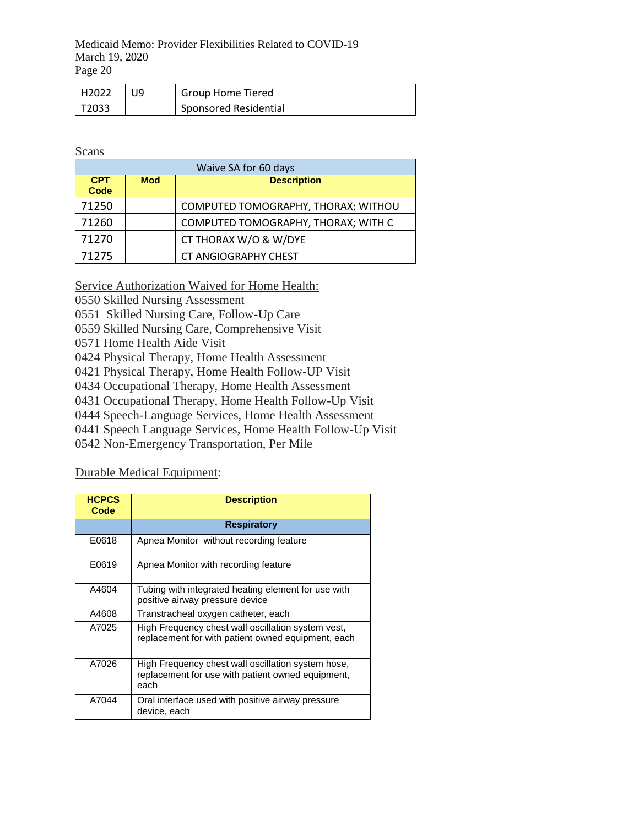| H2022                | <b>Group Home Tiered</b>     |
|----------------------|------------------------------|
| $\overline{1}$ T2033 | <b>Sponsored Residential</b> |

Scans

| Waive SA for 60 days |            |                                     |
|----------------------|------------|-------------------------------------|
| <b>CPT</b><br>Code   | <b>Mod</b> | <b>Description</b>                  |
| 71250                |            | COMPUTED TOMOGRAPHY, THORAX; WITHOU |
| 71260                |            | COMPUTED TOMOGRAPHY, THORAX; WITH C |
| 71270                |            | CT THORAX W/O & W/DYE               |
| 71275                |            | <b>CT ANGIOGRAPHY CHEST</b>         |

Service Authorization Waived for Home Health:

0550 Skilled Nursing Assessment

0551 Skilled Nursing Care, Follow-Up Care

0559 Skilled Nursing Care, Comprehensive Visit

0571 Home Health Aide Visit

0424 Physical Therapy, Home Health Assessment

0421 Physical Therapy, Home Health Follow-UP Visit

0434 Occupational Therapy, Home Health Assessment

0431 Occupational Therapy, Home Health Follow-Up Visit

0444 Speech-Language Services, Home Health Assessment

0441 Speech Language Services, Home Health Follow-Up Visit

0542 Non-Emergency Transportation, Per Mile

Durable Medical Equipment:

| <b>HCPCS</b><br>Code | <b>Description</b>                                                                                              |
|----------------------|-----------------------------------------------------------------------------------------------------------------|
|                      | <b>Respiratory</b>                                                                                              |
| E0618                | Apnea Monitor without recording feature                                                                         |
| E0619                | Apnea Monitor with recording feature                                                                            |
| A4604                | Tubing with integrated heating element for use with<br>positive airway pressure device                          |
| A4608                | Transtracheal oxygen catheter, each                                                                             |
| A7025                | High Frequency chest wall oscillation system vest,<br>replacement for with patient owned equipment, each        |
| A7026                | High Frequency chest wall oscillation system hose,<br>replacement for use with patient owned equipment,<br>each |
| A7044                | Oral interface used with positive airway pressure<br>device, each                                               |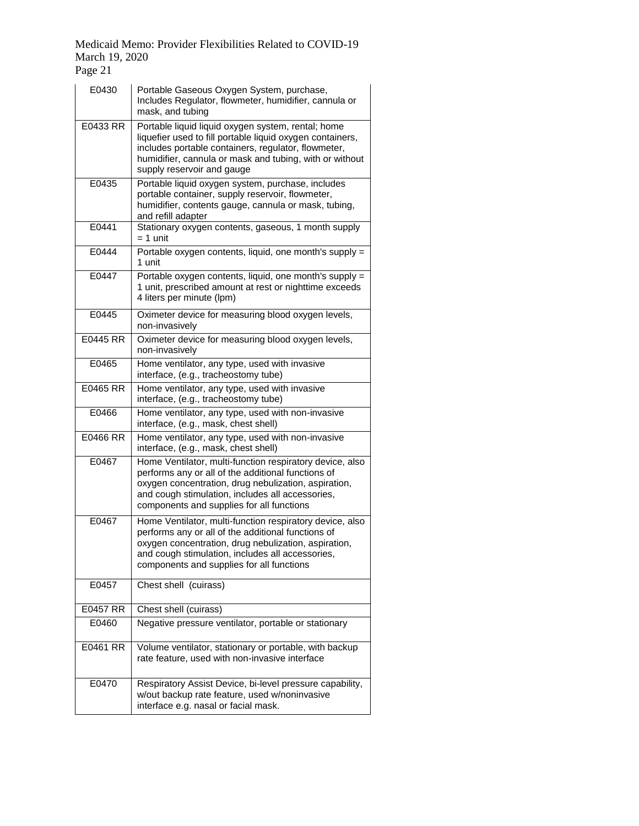| E0430    | Portable Gaseous Oxygen System, purchase,<br>Includes Regulator, flowmeter, humidifier, cannula or<br>mask, and tubing                                                                                                                                                  |
|----------|-------------------------------------------------------------------------------------------------------------------------------------------------------------------------------------------------------------------------------------------------------------------------|
| E0433 RR | Portable liquid liquid oxygen system, rental; home<br>liquefier used to fill portable liquid oxygen containers,<br>includes portable containers, regulator, flowmeter,<br>humidifier, cannula or mask and tubing, with or without<br>supply reservoir and gauge         |
| E0435    | Portable liquid oxygen system, purchase, includes<br>portable container, supply reservoir, flowmeter,<br>humidifier, contents gauge, cannula or mask, tubing,<br>and refill adapter                                                                                     |
| E0441    | Stationary oxygen contents, gaseous, 1 month supply<br>$= 1$ unit                                                                                                                                                                                                       |
| E0444    | Portable oxygen contents, liquid, one month's supply =<br>1 unit                                                                                                                                                                                                        |
| E0447    | Portable oxygen contents, liquid, one month's supply =<br>1 unit, prescribed amount at rest or nighttime exceeds<br>4 liters per minute (lpm)                                                                                                                           |
| E0445    | Oximeter device for measuring blood oxygen levels,<br>non-invasively                                                                                                                                                                                                    |
| E0445 RR | Oximeter device for measuring blood oxygen levels,<br>non-invasively                                                                                                                                                                                                    |
| E0465    | Home ventilator, any type, used with invasive<br>interface, (e.g., tracheostomy tube)                                                                                                                                                                                   |
| E0465 RR | Home ventilator, any type, used with invasive<br>interface, (e.g., tracheostomy tube)                                                                                                                                                                                   |
| E0466    | Home ventilator, any type, used with non-invasive<br>interface, (e.g., mask, chest shell)                                                                                                                                                                               |
| E0466 RR | Home ventilator, any type, used with non-invasive<br>interface, (e.g., mask, chest shell)                                                                                                                                                                               |
| E0467    | Home Ventilator, multi-function respiratory device, also<br>performs any or all of the additional functions of<br>oxygen concentration, drug nebulization, aspiration,<br>and cough stimulation, includes all accessories,<br>components and supplies for all functions |
| E0467    | Home Ventilator, multi-function respiratory device, also<br>performs any or all of the additional functions of<br>oxygen concentration, drug nebulization, aspiration,<br>and cough stimulation, includes all accessories,<br>components and supplies for all functions |
| E0457    | Chest shell (cuirass)                                                                                                                                                                                                                                                   |
| E0457 RR | Chest shell (cuirass)                                                                                                                                                                                                                                                   |
| E0460    | Negative pressure ventilator, portable or stationary                                                                                                                                                                                                                    |
| E0461 RR | Volume ventilator, stationary or portable, with backup<br>rate feature, used with non-invasive interface                                                                                                                                                                |
| E0470    | Respiratory Assist Device, bi-level pressure capability,<br>w/out backup rate feature, used w/noninvasive<br>interface e.g. nasal or facial mask.                                                                                                                       |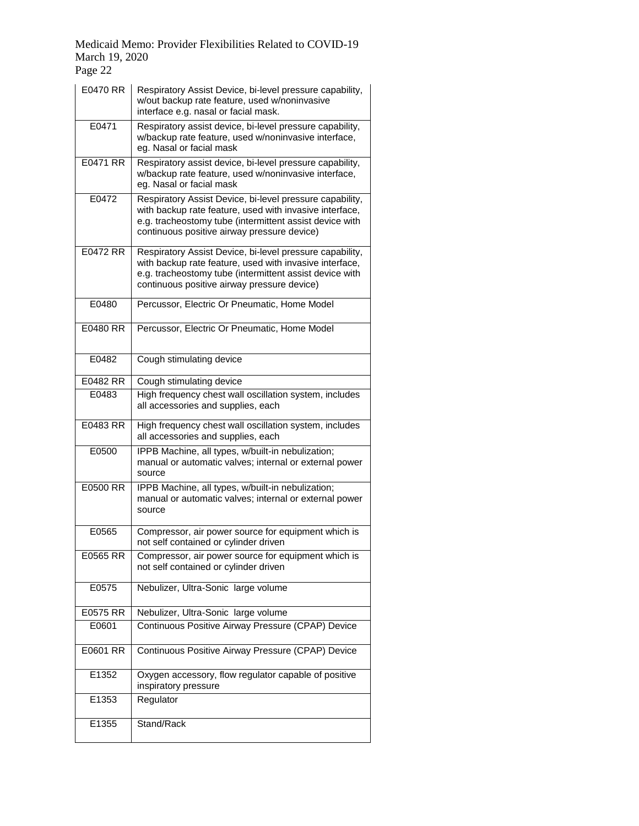| E0470 RR | Respiratory Assist Device, bi-level pressure capability,<br>w/out backup rate feature, used w/noninvasive<br>interface e.g. nasal or facial mask.                                                                             |
|----------|-------------------------------------------------------------------------------------------------------------------------------------------------------------------------------------------------------------------------------|
| E0471    | Respiratory assist device, bi-level pressure capability,<br>w/backup rate feature, used w/noninvasive interface,<br>eg. Nasal or facial mask                                                                                  |
| E0471 RR | Respiratory assist device, bi-level pressure capability,<br>w/backup rate feature, used w/noninvasive interface,<br>eg. Nasal or facial mask                                                                                  |
| E0472    | Respiratory Assist Device, bi-level pressure capability,<br>with backup rate feature, used with invasive interface,<br>e.g. tracheostomy tube (intermittent assist device with<br>continuous positive airway pressure device) |
| E0472 RR | Respiratory Assist Device, bi-level pressure capability,<br>with backup rate feature, used with invasive interface,<br>e.g. tracheostomy tube (intermittent assist device with<br>continuous positive airway pressure device) |
| E0480    | Percussor, Electric Or Pneumatic, Home Model                                                                                                                                                                                  |
| E0480 RR | Percussor, Electric Or Pneumatic, Home Model                                                                                                                                                                                  |
| E0482    | Cough stimulating device                                                                                                                                                                                                      |
| E0482 RR | Cough stimulating device                                                                                                                                                                                                      |
| E0483    | High frequency chest wall oscillation system, includes<br>all accessories and supplies, each                                                                                                                                  |
| E0483 RR | High frequency chest wall oscillation system, includes<br>all accessories and supplies, each                                                                                                                                  |
| E0500    | IPPB Machine, all types, w/built-in nebulization;<br>manual or automatic valves; internal or external power<br>source                                                                                                         |
| E0500 RR | IPPB Machine, all types, w/built-in nebulization;<br>manual or automatic valves; internal or external power<br>source                                                                                                         |
| E0565    | Compressor, air power source for equipment which is<br>not self contained or cylinder driven                                                                                                                                  |
| E0565 RR | Compressor, air power source for equipment which is<br>not self contained or cylinder driven                                                                                                                                  |
| E0575    | Nebulizer, Ultra-Sonic large volume                                                                                                                                                                                           |
| E0575 RR | Nebulizer, Ultra-Sonic large volume                                                                                                                                                                                           |
| E0601    | Continuous Positive Airway Pressure (CPAP) Device                                                                                                                                                                             |
| E0601 RR | Continuous Positive Airway Pressure (CPAP) Device                                                                                                                                                                             |
| E1352    | Oxygen accessory, flow regulator capable of positive<br>inspiratory pressure                                                                                                                                                  |
| E1353    | Regulator                                                                                                                                                                                                                     |
| E1355    | Stand/Rack                                                                                                                                                                                                                    |